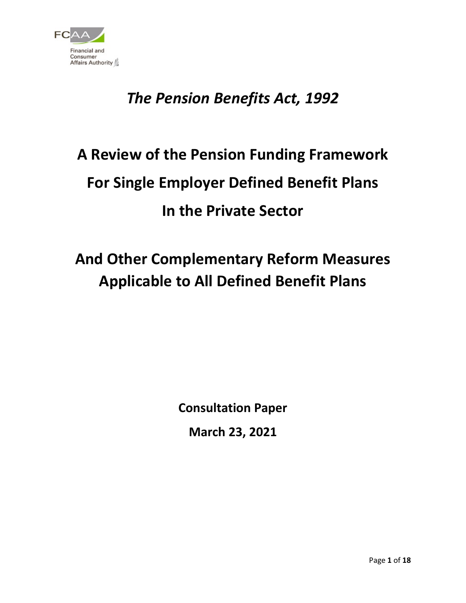

## *The Pension Benefits Act, 1992*

# **A Review of the Pension Funding Framework For Single Employer Defined Benefit Plans In the Private Sector**

## **And Other Complementary Reform Measures Applicable to All Defined Benefit Plans**

**Consultation Paper**

**March 23, 2021**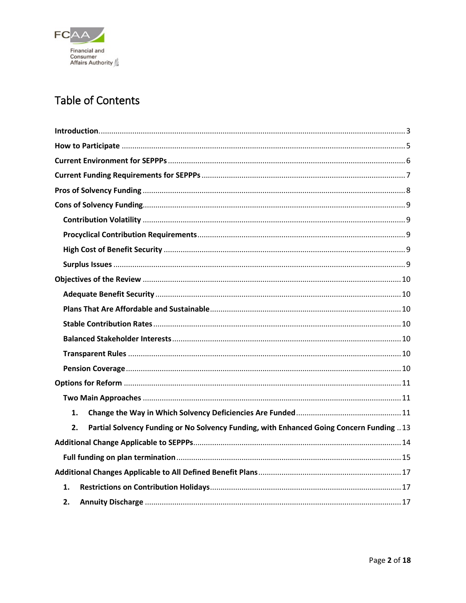

### Table of Contents

| 1.                                                                                             |
|------------------------------------------------------------------------------------------------|
| Partial Solvency Funding or No Solvency Funding, with Enhanced Going Concern Funding  13<br>2. |
|                                                                                                |
|                                                                                                |
|                                                                                                |
| 1.                                                                                             |
| 2.                                                                                             |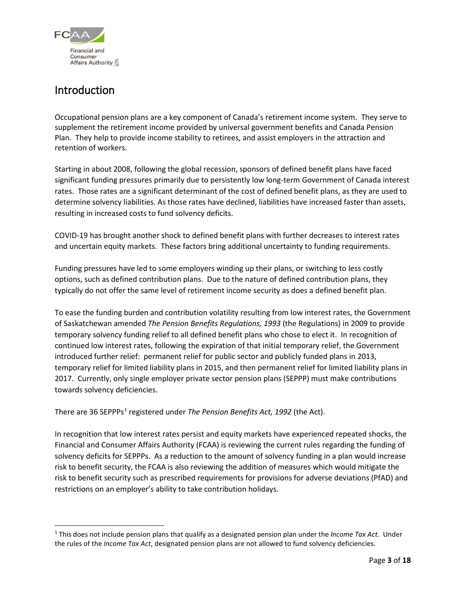

### <span id="page-2-0"></span>Introduction

Occupational pension plans are a key component of Canada's retirement income system. They serve to supplement the retirement income provided by universal government benefits and Canada Pension Plan. They help to provide income stability to retirees, and assist employers in the attraction and retention of workers.

Starting in about 2008, following the global recession, sponsors of defined benefit plans have faced significant funding pressures primarily due to persistently low long-term Government of Canada interest rates. Those rates are a significant determinant of the cost of defined benefit plans, as they are used to determine solvency liabilities. As those rates have declined, liabilities have increased faster than assets, resulting in increased costs to fund solvency deficits.

COVID-19 has brought another shock to defined benefit plans with further decreases to interest rates and uncertain equity markets. These factors bring additional uncertainty to funding requirements.

Funding pressures have led to some employers winding up their plans, or switching to less costly options, such as defined contribution plans. Due to the nature of defined contribution plans, they typically do not offer the same level of retirement income security as does a defined benefit plan.

To ease the funding burden and contribution volatility resulting from low interest rates, the Government of Saskatchewan amended *The Pension Benefits Regulations, 1993* (the Regulations) in 2009 to provide temporary solvency funding relief to all defined benefit plans who chose to elect it. In recognition of continued low interest rates, following the expiration of that initial temporary relief, the Government introduced further relief: permanent relief for public sector and publicly funded plans in 2013, temporary relief for limited liability plans in 2015, and then permanent relief for limited liability plans in 2017. Currently, only single employer private sector pension plans (SEPPP) must make contributions towards solvency deficiencies.

There are 36 SEPPPs<sup>[1](#page-2-1)</sup> registered under *The Pension Benefits Act, 1992* (the Act).

In recognition that low interest rates persist and equity markets have experienced repeated shocks, the Financial and Consumer Affairs Authority (FCAA) is reviewing the current rules regarding the funding of solvency deficits for SEPPPs. As a reduction to the amount of solvency funding in a plan would increase risk to benefit security, the FCAA is also reviewing the addition of measures which would mitigate the risk to benefit security such as prescribed requirements for provisions for adverse deviations (PfAD) and restrictions on an employer's ability to take contribution holidays.

<span id="page-2-1"></span> <sup>1</sup> This does not include pension plans that qualify as a designated pension plan under the *Income Tax Act*. Under the rules of the *Income Tax Act*, designated pension plans are not allowed to fund solvency deficiencies.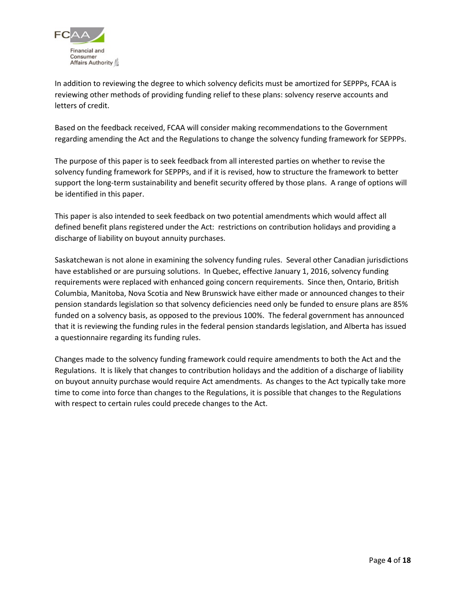

In addition to reviewing the degree to which solvency deficits must be amortized for SEPPPs, FCAA is reviewing other methods of providing funding relief to these plans: solvency reserve accounts and letters of credit.

Based on the feedback received, FCAA will consider making recommendations to the Government regarding amending the Act and the Regulations to change the solvency funding framework for SEPPPs.

The purpose of this paper is to seek feedback from all interested parties on whether to revise the solvency funding framework for SEPPPs, and if it is revised, how to structure the framework to better support the long-term sustainability and benefit security offered by those plans. A range of options will be identified in this paper.

This paper is also intended to seek feedback on two potential amendments which would affect all defined benefit plans registered under the Act: restrictions on contribution holidays and providing a discharge of liability on buyout annuity purchases.

Saskatchewan is not alone in examining the solvency funding rules. Several other Canadian jurisdictions have established or are pursuing solutions. In Quebec, effective January 1, 2016, solvency funding requirements were replaced with enhanced going concern requirements. Since then, Ontario, British Columbia, Manitoba, Nova Scotia and New Brunswick have either made or announced changes to their pension standards legislation so that solvency deficiencies need only be funded to ensure plans are 85% funded on a solvency basis, as opposed to the previous 100%. The federal government has announced that it is reviewing the funding rules in the federal pension standards legislation, and Alberta has issued a questionnaire regarding its funding rules.

Changes made to the solvency funding framework could require amendments to both the Act and the Regulations. It is likely that changes to contribution holidays and the addition of a discharge of liability on buyout annuity purchase would require Act amendments. As changes to the Act typically take more time to come into force than changes to the Regulations, it is possible that changes to the Regulations with respect to certain rules could precede changes to the Act.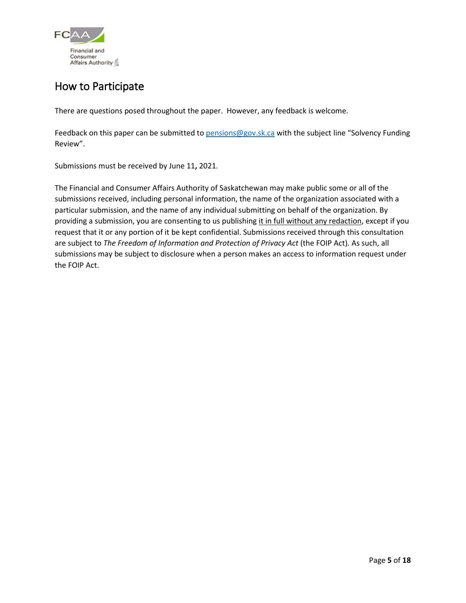

### <span id="page-4-0"></span>How to Participate

There are questions posed throughout the paper. However, any feedback is welcome.

Feedback on this paper can be submitted t[o pensions@gov.sk.ca](mailto:pensions@gov.sk.ca) with the subject line "Solvency Funding Review".

Submissions must be received by June 11**,** 2021.

The Financial and Consumer Affairs Authority of Saskatchewan may make public some or all of the submissions received, including personal information, the name of the organization associated with a particular submission, and the name of any individual submitting on behalf of the organization. By providing a submission, you are consenting to us publishing it in full without any redaction, except if you request that it or any portion of it be kept confidential. Submissions received through this consultation are subject to *The Freedom of Information and Protection of Privacy Act* (the FOIP Act)*.* As such, all submissions may be subject to disclosure when a person makes an access to information request under the FOIP Act.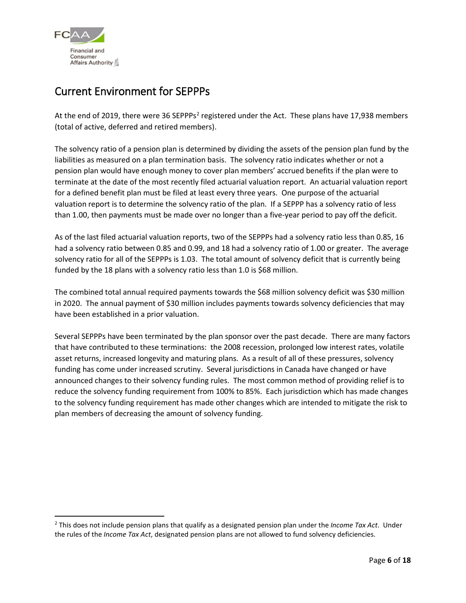

### <span id="page-5-0"></span>Current Environment for SEPPPs

At the end of 2019, there were 36 SEPPPs<sup>2</sup> registered under the Act. These plans have 17,938 members (total of active, deferred and retired members).

The solvency ratio of a pension plan is determined by dividing the assets of the pension plan fund by the liabilities as measured on a plan termination basis. The solvency ratio indicates whether or not a pension plan would have enough money to cover plan members' accrued benefits if the plan were to terminate at the date of the most recently filed actuarial valuation report. An actuarial valuation report for a defined benefit plan must be filed at least every three years. One purpose of the actuarial valuation report is to determine the solvency ratio of the plan. If a SEPPP has a solvency ratio of less than 1.00, then payments must be made over no longer than a five-year period to pay off the deficit.

As of the last filed actuarial valuation reports, two of the SEPPPs had a solvency ratio less than 0.85, 16 had a solvency ratio between 0.85 and 0.99, and 18 had a solvency ratio of 1.00 or greater. The average solvency ratio for all of the SEPPPs is 1.03. The total amount of solvency deficit that is currently being funded by the 18 plans with a solvency ratio less than 1.0 is \$68 million.

The combined total annual required payments towards the \$68 million solvency deficit was \$30 million in 2020. The annual payment of \$30 million includes payments towards solvency deficiencies that may have been established in a prior valuation.

Several SEPPPs have been terminated by the plan sponsor over the past decade. There are many factors that have contributed to these terminations: the 2008 recession, prolonged low interest rates, volatile asset returns, increased longevity and maturing plans. As a result of all of these pressures, solvency funding has come under increased scrutiny. Several jurisdictions in Canada have changed or have announced changes to their solvency funding rules. The most common method of providing relief is to reduce the solvency funding requirement from 100% to 85%. Each jurisdiction which has made changes to the solvency funding requirement has made other changes which are intended to mitigate the risk to plan members of decreasing the amount of solvency funding.

<span id="page-5-1"></span> <sup>2</sup> This does not include pension plans that qualify as a designated pension plan under the *Income Tax Act*. Under the rules of the *Income Tax Act*, designated pension plans are not allowed to fund solvency deficiencies.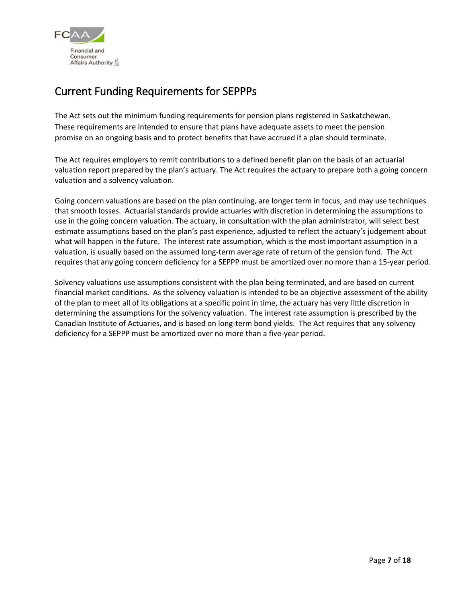

### <span id="page-6-0"></span>Current Funding Requirements for SEPPPs

The Act sets out the minimum funding requirements for pension plans registered in Saskatchewan. These requirements are intended to ensure that plans have adequate assets to meet the pension promise on an ongoing basis and to protect benefits that have accrued if a plan should terminate.

The Act requires employers to remit contributions to a defined benefit plan on the basis of an actuarial valuation report prepared by the plan's actuary. The Act requires the actuary to prepare both a going concern valuation and a solvency valuation.

Going concern valuations are based on the plan continuing, are longer term in focus, and may use techniques that smooth losses. Actuarial standards provide actuaries with discretion in determining the assumptions to use in the going concern valuation. The actuary, in consultation with the plan administrator, will select best estimate assumptions based on the plan's past experience, adjusted to reflect the actuary's judgement about what will happen in the future. The interest rate assumption, which is the most important assumption in a valuation, is usually based on the assumed long-term average rate of return of the pension fund. The Act requires that any going concern deficiency for a SEPPP must be amortized over no more than a 15-year period.

Solvency valuations use assumptions consistent with the plan being terminated, and are based on current financial market conditions. As the solvency valuation is intended to be an objective assessment of the ability of the plan to meet all of its obligations at a specific point in time, the actuary has very little discretion in determining the assumptions for the solvency valuation. The interest rate assumption is prescribed by the Canadian Institute of Actuaries, and is based on long-term bond yields. The Act requires that any solvency deficiency for a SEPPP must be amortized over no more than a five-year period.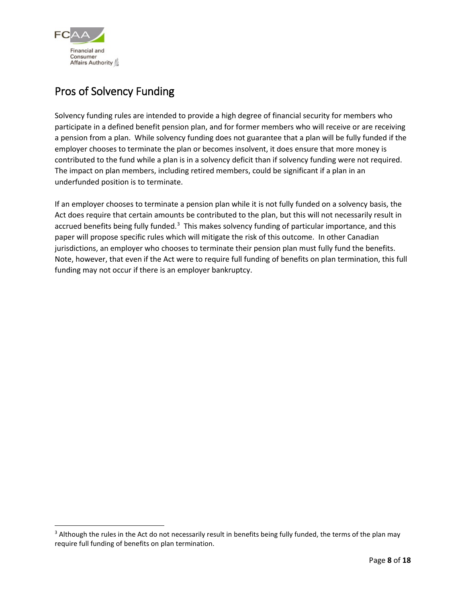

### <span id="page-7-0"></span>Pros of Solvency Funding

Solvency funding rules are intended to provide a high degree of financial security for members who participate in a defined benefit pension plan, and for former members who will receive or are receiving a pension from a plan. While solvency funding does not guarantee that a plan will be fully funded if the employer chooses to terminate the plan or becomes insolvent, it does ensure that more money is contributed to the fund while a plan is in a solvency deficit than if solvency funding were not required. The impact on plan members, including retired members, could be significant if a plan in an underfunded position is to terminate.

If an employer chooses to terminate a pension plan while it is not fully funded on a solvency basis, the Act does require that certain amounts be contributed to the plan, but this will not necessarily result in accrued benefits being fully funded.<sup>[3](#page-7-1)</sup> This makes solvency funding of particular importance, and this paper will propose specific rules which will mitigate the risk of this outcome. In other Canadian jurisdictions, an employer who chooses to terminate their pension plan must fully fund the benefits. Note, however, that even if the Act were to require full funding of benefits on plan termination, this full funding may not occur if there is an employer bankruptcy.

<span id="page-7-1"></span><sup>&</sup>lt;sup>3</sup> Although the rules in the Act do not necessarily result in benefits being fully funded, the terms of the plan may require full funding of benefits on plan termination.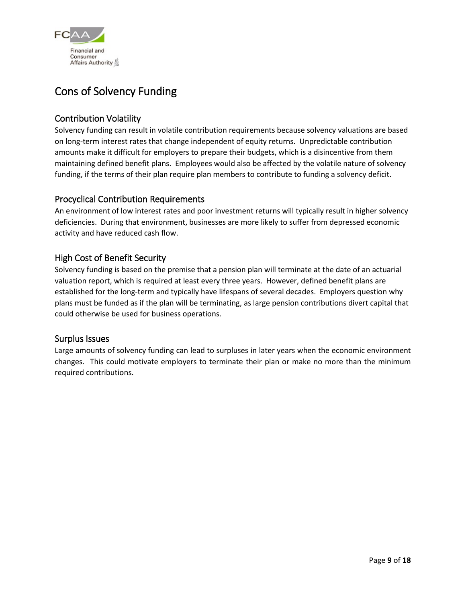

### <span id="page-8-0"></span>Cons of Solvency Funding

### <span id="page-8-1"></span>Contribution Volatility

Solvency funding can result in volatile contribution requirements because solvency valuations are based on long-term interest rates that change independent of equity returns. Unpredictable contribution amounts make it difficult for employers to prepare their budgets, which is a disincentive from them maintaining defined benefit plans. Employees would also be affected by the volatile nature of solvency funding, if the terms of their plan require plan members to contribute to funding a solvency deficit.

### <span id="page-8-2"></span>Procyclical Contribution Requirements

An environment of low interest rates and poor investment returns will typically result in higher solvency deficiencies. During that environment, businesses are more likely to suffer from depressed economic activity and have reduced cash flow.

### <span id="page-8-3"></span>High Cost of Benefit Security

Solvency funding is based on the premise that a pension plan will terminate at the date of an actuarial valuation report, which is required at least every three years. However, defined benefit plans are established for the long-term and typically have lifespans of several decades. Employers question why plans must be funded as if the plan will be terminating, as large pension contributions divert capital that could otherwise be used for business operations.

### <span id="page-8-4"></span>Surplus Issues

Large amounts of solvency funding can lead to surpluses in later years when the economic environment changes. This could motivate employers to terminate their plan or make no more than the minimum required contributions.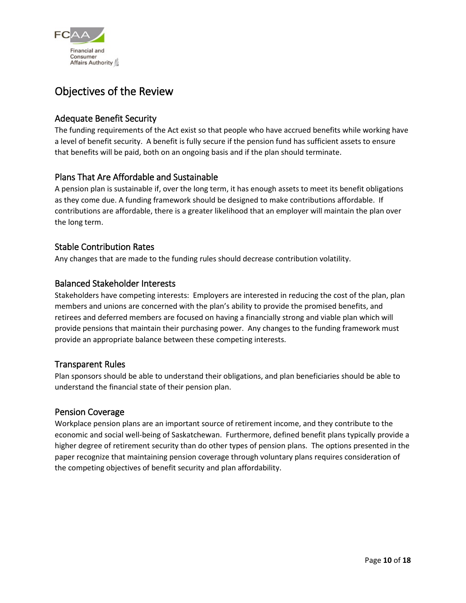

### <span id="page-9-0"></span>Objectives of the Review

### <span id="page-9-1"></span>Adequate Benefit Security

The funding requirements of the Act exist so that people who have accrued benefits while working have a level of benefit security. A benefit is fully secure if the pension fund has sufficient assets to ensure that benefits will be paid, both on an ongoing basis and if the plan should terminate.

### <span id="page-9-2"></span>Plans That Are Affordable and Sustainable

A pension plan is sustainable if, over the long term, it has enough assets to meet its benefit obligations as they come due. A funding framework should be designed to make contributions affordable. If contributions are affordable, there is a greater likelihood that an employer will maintain the plan over the long term.

### <span id="page-9-3"></span>Stable Contribution Rates

Any changes that are made to the funding rules should decrease contribution volatility.

### <span id="page-9-4"></span>Balanced Stakeholder Interests

Stakeholders have competing interests: Employers are interested in reducing the cost of the plan, plan members and unions are concerned with the plan's ability to provide the promised benefits, and retirees and deferred members are focused on having a financially strong and viable plan which will provide pensions that maintain their purchasing power. Any changes to the funding framework must provide an appropriate balance between these competing interests.

### <span id="page-9-5"></span>Transparent Rules

Plan sponsors should be able to understand their obligations, and plan beneficiaries should be able to understand the financial state of their pension plan.

### <span id="page-9-6"></span>Pension Coverage

Workplace pension plans are an important source of retirement income, and they contribute to the economic and social well-being of Saskatchewan. Furthermore, defined benefit plans typically provide a higher degree of retirement security than do other types of pension plans. The options presented in the paper recognize that maintaining pension coverage through voluntary plans requires consideration of the competing objectives of benefit security and plan affordability.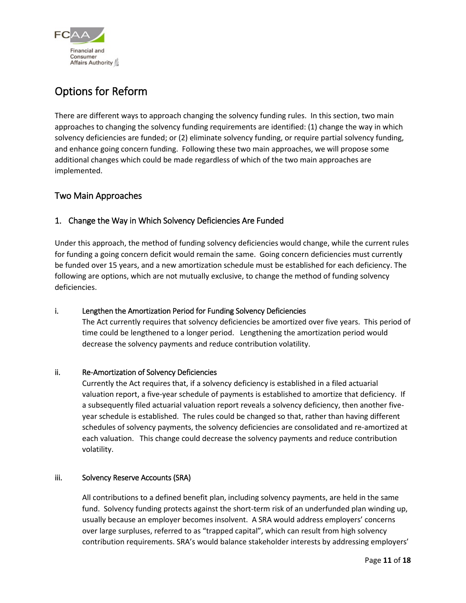

### <span id="page-10-0"></span>Options for Reform

There are different ways to approach changing the solvency funding rules. In this section, two main approaches to changing the solvency funding requirements are identified: (1) change the way in which solvency deficiencies are funded; or (2) eliminate solvency funding, or require partial solvency funding, and enhance going concern funding. Following these two main approaches, we will propose some additional changes which could be made regardless of which of the two main approaches are implemented.

### <span id="page-10-1"></span>Two Main Approaches

### <span id="page-10-2"></span>1. Change the Way in Which Solvency Deficiencies Are Funded

Under this approach, the method of funding solvency deficiencies would change, while the current rules for funding a going concern deficit would remain the same. Going concern deficiencies must currently be funded over 15 years, and a new amortization schedule must be established for each deficiency. The following are options, which are not mutually exclusive, to change the method of funding solvency deficiencies.

### i. Lengthen the Amortization Period for Funding Solvency Deficiencies

The Act currently requires that solvency deficiencies be amortized over five years. This period of time could be lengthened to a longer period. Lengthening the amortization period would decrease the solvency payments and reduce contribution volatility.

### ii. Re-Amortization of Solvency Deficiencies

Currently the Act requires that, if a solvency deficiency is established in a filed actuarial valuation report, a five-year schedule of payments is established to amortize that deficiency. If a subsequently filed actuarial valuation report reveals a solvency deficiency, then another fiveyear schedule is established. The rules could be changed so that, rather than having different schedules of solvency payments, the solvency deficiencies are consolidated and re-amortized at each valuation. This change could decrease the solvency payments and reduce contribution volatility.

### iii. Solvency Reserve Accounts (SRA)

All contributions to a defined benefit plan, including solvency payments, are held in the same fund. Solvency funding protects against the short-term risk of an underfunded plan winding up, usually because an employer becomes insolvent. A SRA would address employers' concerns over large surpluses, referred to as "trapped capital", which can result from high solvency contribution requirements. SRA's would balance stakeholder interests by addressing employers'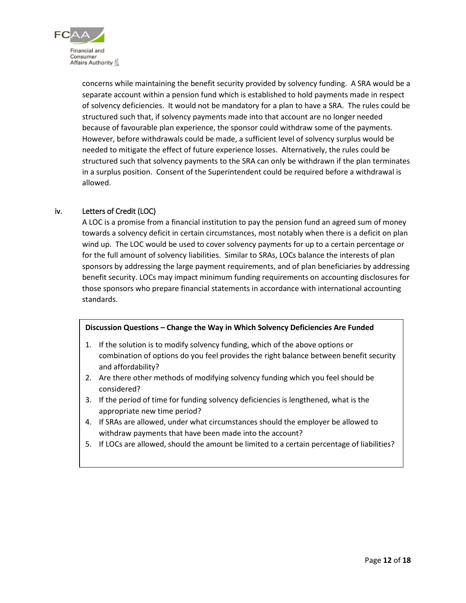

concerns while maintaining the benefit security provided by solvency funding. A SRA would be a separate account within a pension fund which is established to hold payments made in respect of solvency deficiencies. It would not be mandatory for a plan to have a SRA. The rules could be structured such that, if solvency payments made into that account are no longer needed because of favourable plan experience, the sponsor could withdraw some of the payments. However, before withdrawals could be made, a sufficient level of solvency surplus would be needed to mitigate the effect of future experience losses. Alternatively, the rules could be structured such that solvency payments to the SRA can only be withdrawn if the plan terminates in a surplus position. Consent of the Superintendent could be required before a withdrawal is allowed.

#### iv. Letters of Credit (LOC)

A LOC is a promise from a financial institution to pay the pension fund an agreed sum of money towards a solvency deficit in certain circumstances, most notably when there is a deficit on plan wind up. The LOC would be used to cover solvency payments for up to a certain percentage or for the full amount of solvency liabilities. Similar to SRAs, LOCs balance the interests of plan sponsors by addressing the large payment requirements, and of plan beneficiaries by addressing benefit security. LOCs may impact minimum funding requirements on accounting disclosures for those sponsors who prepare financial statements in accordance with international accounting standards.

#### **Discussion Questions – Change the Way in Which Solvency Deficiencies Are Funded**

- 1. If the solution is to modify solvency funding, which of the above options or combination of options do you feel provides the right balance between benefit security and affordability?
- 2. Are there other methods of modifying solvency funding which you feel should be considered?
- 3. If the period of time for funding solvency deficiencies is lengthened, what is the appropriate new time period?
- 4. If SRAs are allowed, under what circumstances should the employer be allowed to withdraw payments that have been made into the account?
- 5. If LOCs are allowed, should the amount be limited to a certain percentage of liabilities?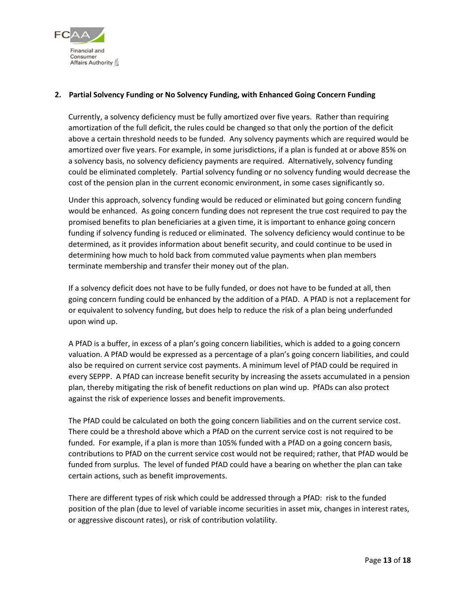

#### <span id="page-12-0"></span>**2. Partial Solvency Funding or No Solvency Funding, with Enhanced Going Concern Funding**

Currently, a solvency deficiency must be fully amortized over five years. Rather than requiring amortization of the full deficit, the rules could be changed so that only the portion of the deficit above a certain threshold needs to be funded. Any solvency payments which are required would be amortized over five years. For example, in some jurisdictions, if a plan is funded at or above 85% on a solvency basis, no solvency deficiency payments are required. Alternatively, solvency funding could be eliminated completely. Partial solvency funding or no solvency funding would decrease the cost of the pension plan in the current economic environment, in some cases significantly so.

Under this approach, solvency funding would be reduced or eliminated but going concern funding would be enhanced. As going concern funding does not represent the true cost required to pay the promised benefits to plan beneficiaries at a given time, it is important to enhance going concern funding if solvency funding is reduced or eliminated. The solvency deficiency would continue to be determined, as it provides information about benefit security, and could continue to be used in determining how much to hold back from commuted value payments when plan members terminate membership and transfer their money out of the plan.

If a solvency deficit does not have to be fully funded, or does not have to be funded at all, then going concern funding could be enhanced by the addition of a PfAD. A PfAD is not a replacement for or equivalent to solvency funding, but does help to reduce the risk of a plan being underfunded upon wind up.

A PfAD is a buffer, in excess of a plan's going concern liabilities, which is added to a going concern valuation. A PfAD would be expressed as a percentage of a plan's going concern liabilities, and could also be required on current service cost payments. A minimum level of PfAD could be required in every SEPPP. A PfAD can increase benefit security by increasing the assets accumulated in a pension plan, thereby mitigating the risk of benefit reductions on plan wind up. PfADs can also protect against the risk of experience losses and benefit improvements.

The PfAD could be calculated on both the going concern liabilities and on the current service cost. There could be a threshold above which a PfAD on the current service cost is not required to be funded. For example, if a plan is more than 105% funded with a PfAD on a going concern basis, contributions to PfAD on the current service cost would not be required; rather, that PfAD would be funded from surplus. The level of funded PfAD could have a bearing on whether the plan can take certain actions, such as benefit improvements.

There are different types of risk which could be addressed through a PfAD: risk to the funded position of the plan (due to level of variable income securities in asset mix, changes in interest rates, or aggressive discount rates), or risk of contribution volatility.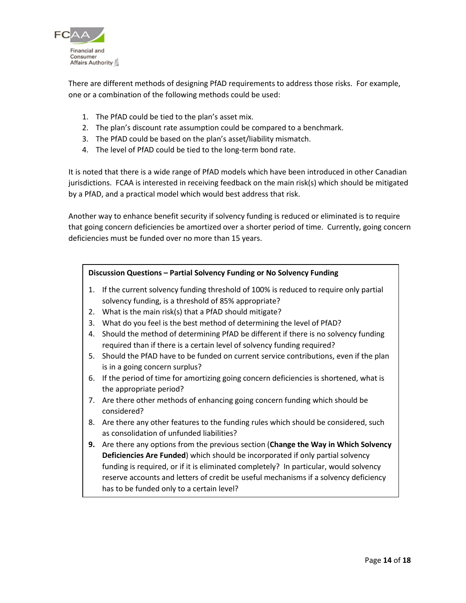

There are different methods of designing PfAD requirements to address those risks. For example, one or a combination of the following methods could be used:

- 1. The PfAD could be tied to the plan's asset mix.
- 2. The plan's discount rate assumption could be compared to a benchmark.
- 3. The PfAD could be based on the plan's asset/liability mismatch.
- 4. The level of PfAD could be tied to the long-term bond rate.

It is noted that there is a wide range of PfAD models which have been introduced in other Canadian jurisdictions. FCAA is interested in receiving feedback on the main risk(s) which should be mitigated by a PfAD, and a practical model which would best address that risk.

Another way to enhance benefit security if solvency funding is reduced or eliminated is to require that going concern deficiencies be amortized over a shorter period of time. Currently, going concern deficiencies must be funded over no more than 15 years.

#### **Discussion Questions – Partial Solvency Funding or No Solvency Funding**

- 1. If the current solvency funding threshold of 100% is reduced to require only partial solvency funding, is a threshold of 85% appropriate?
- 2. What is the main risk(s) that a PfAD should mitigate?
- 3. What do you feel is the best method of determining the level of PfAD?
- 4. Should the method of determining PfAD be different if there is no solvency funding required than if there is a certain level of solvency funding required?
- <span id="page-13-0"></span>5. Should the PfAD have to be funded on current service contributions, even if the plan is in a going concern surplus?
- 6. If the period of time for amortizing going concern deficiencies is shortened, what is the appropriate period?
- 7. Are there other methods of enhancing going concern funding which should be considered?
- 8. Are there any other features to the funding rules which should be considered, such as consolidation of unfunded liabilities?
- **9.** Are there any options from the previous section (**Change the Way in Which Solvency Deficiencies Are Funded**) which should be incorporated if only partial solvency funding is required, or if it is eliminated completely? In particular, would solvency reserve accounts and letters of credit be useful mechanisms if a solvency deficiency has to be funded only to a certain level?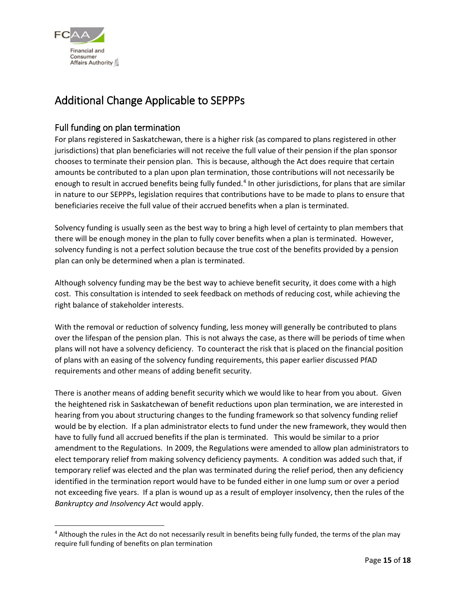

### Additional Change Applicable to SEPPPs

### <span id="page-14-0"></span>Full funding on plan termination

For plans registered in Saskatchewan, there is a higher risk (as compared to plans registered in other jurisdictions) that plan beneficiaries will not receive the full value of their pension if the plan sponsor chooses to terminate their pension plan. This is because, although the Act does require that certain amounts be contributed to a plan upon plan termination, those contributions will not necessarily be enough to result in accrued benefits being fully funded.<sup>[4](#page-14-1)</sup> In other jurisdictions, for plans that are similar in nature to our SEPPPs, legislation requires that contributions have to be made to plans to ensure that beneficiaries receive the full value of their accrued benefits when a plan is terminated.

Solvency funding is usually seen as the best way to bring a high level of certainty to plan members that there will be enough money in the plan to fully cover benefits when a plan is terminated. However, solvency funding is not a perfect solution because the true cost of the benefits provided by a pension plan can only be determined when a plan is terminated.

Although solvency funding may be the best way to achieve benefit security, it does come with a high cost. This consultation is intended to seek feedback on methods of reducing cost, while achieving the right balance of stakeholder interests.

With the removal or reduction of solvency funding, less money will generally be contributed to plans over the lifespan of the pension plan. This is not always the case, as there will be periods of time when plans will not have a solvency deficiency. To counteract the risk that is placed on the financial position of plans with an easing of the solvency funding requirements, this paper earlier discussed PfAD requirements and other means of adding benefit security.

There is another means of adding benefit security which we would like to hear from you about. Given the heightened risk in Saskatchewan of benefit reductions upon plan termination, we are interested in hearing from you about structuring changes to the funding framework so that solvency funding relief would be by election. If a plan administrator elects to fund under the new framework, they would then have to fully fund all accrued benefits if the plan is terminated. This would be similar to a prior amendment to the Regulations. In 2009, the Regulations were amended to allow plan administrators to elect temporary relief from making solvency deficiency payments. A condition was added such that, if temporary relief was elected and the plan was terminated during the relief period, then any deficiency identified in the termination report would have to be funded either in one lump sum or over a period not exceeding five years. If a plan is wound up as a result of employer insolvency, then the rules of the *Bankruptcy and Insolvency Act* would apply.

<span id="page-14-1"></span><sup>&</sup>lt;sup>4</sup> Although the rules in the Act do not necessarily result in benefits being fully funded, the terms of the plan may require full funding of benefits on plan termination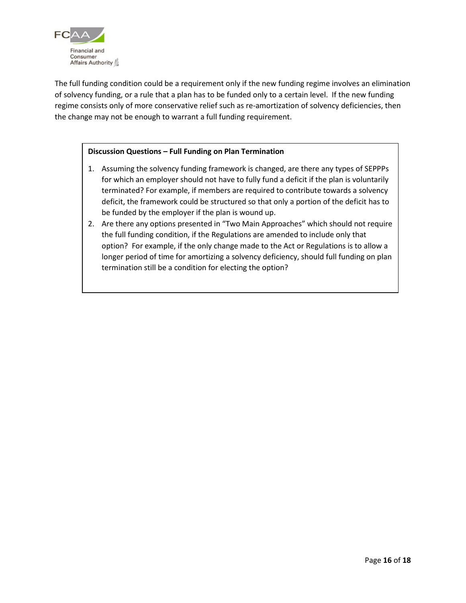

The full funding condition could be a requirement only if the new funding regime involves an elimination of solvency funding, or a rule that a plan has to be funded only to a certain level. If the new funding regime consists only of more conservative relief such as re-amortization of solvency deficiencies, then the change may not be enough to warrant a full funding requirement.

#### **Discussion Questions – Full Funding on Plan Termination**

- 1. Assuming the solvency funding framework is changed, are there any types of SEPPPs for which an employer should not have to fully fund a deficit if the plan is voluntarily terminated? For example, if members are required to contribute towards a solvency deficit, the framework could be structured so that only a portion of the deficit has to be funded by the employer if the plan is wound up.
- 2. Are there any options presented in "Two Main Approaches" which should not require the full funding condition, if the Regulations are amended to include only that option? For example, if the only change made to the Act or Regulations is to allow a longer period of time for amortizing a solvency deficiency, should full funding on plan termination still be a condition for electing the option?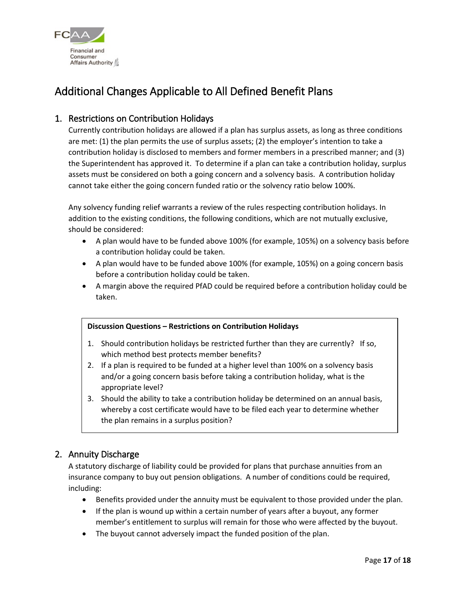

### <span id="page-16-0"></span>Additional Changes Applicable to All Defined Benefit Plans

### <span id="page-16-1"></span>1. Restrictions on Contribution Holidays

Currently contribution holidays are allowed if a plan has surplus assets, as long as three conditions are met: (1) the plan permits the use of surplus assets; (2) the employer's intention to take a contribution holiday is disclosed to members and former members in a prescribed manner; and (3) the Superintendent has approved it. To determine if a plan can take a contribution holiday, surplus assets must be considered on both a going concern and a solvency basis. A contribution holiday cannot take either the going concern funded ratio or the solvency ratio below 100%.

Any solvency funding relief warrants a review of the rules respecting contribution holidays. In addition to the existing conditions, the following conditions, which are not mutually exclusive, should be considered:

- A plan would have to be funded above 100% (for example, 105%) on a solvency basis before a contribution holiday could be taken.
- A plan would have to be funded above 100% (for example, 105%) on a going concern basis before a contribution holiday could be taken.
- A margin above the required PfAD could be required before a contribution holiday could be taken.

#### **Discussion Questions – Restrictions on Contribution Holidays**

- 1. Should contribution holidays be restricted further than they are currently? If so, which method best protects member benefits?
- 2. If a plan is required to be funded at a higher level than 100% on a solvency basis and/or a going concern basis before taking a contribution holiday, what is the appropriate level?
- 3. Should the ability to take a contribution holiday be determined on an annual basis, whereby a cost certificate would have to be filed each year to determine whether the plan remains in a surplus position?

### <span id="page-16-2"></span>2. Annuity Discharge

A statutory discharge of liability could be provided for plans that purchase annuities from an insurance company to buy out pension obligations. A number of conditions could be required, including:

- Benefits provided under the annuity must be equivalent to those provided under the plan.
- If the plan is wound up within a certain number of years after a buyout, any former member's entitlement to surplus will remain for those who were affected by the buyout.
- The buyout cannot adversely impact the funded position of the plan.